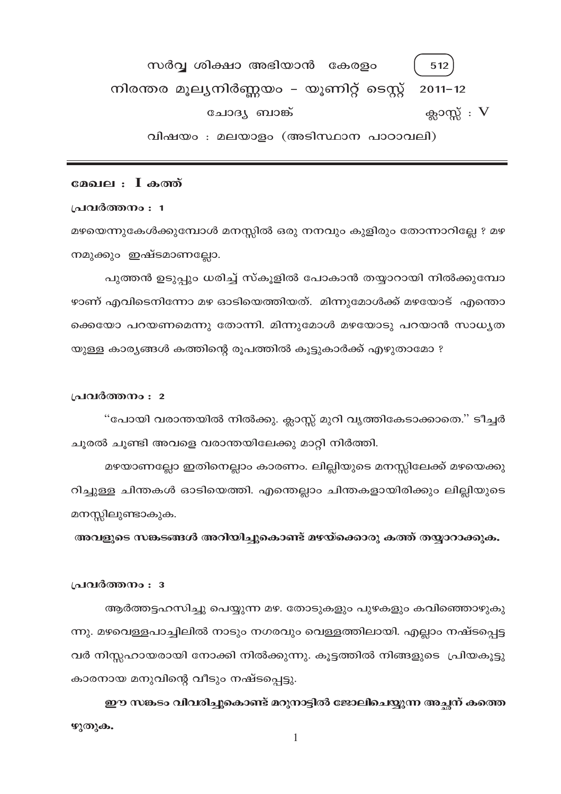സർവ്വ ശിക്ഷാ അഭിയാൻ കേരളം 512 നിരന്തര മൂല്യനിർണ്ണയം – യൂണിറ്റ് ടെസ്റ്റ്  $2011 - 12$ ക്ലാസ്സ്  $: V$ ചോദ്യ ബാങ്ക് വിഷയം : മലയാളം (അടിസ്ഥാന പാഠാവലി)

## മേഖല : I കത്ത്

#### പ്രവർത്തനം : 1

മഴയെന്നുകേൾക്കുമ്പോൾ മനസ്സിൽ ഒരു നനവും കുളിരും തോന്നാറില്ലേ ? മഴ നമുക്കും ഇഷ്ടമാണല്ലോ.

പുത്തൻ ഉടുപ്പും ധരിച്ച് സ്കൂളിൽ പോകാൻ തയ്യാറായി നിൽക്കുമ്പോ ഴാണ് എവിടെനിന്നോ മഴ ഓടിയെത്തിയത്. മിന്നുമോൾക്ക് മഴയോട് എന്തൊ ക്കെയോ പറയണമെന്നു തോന്നി. മിന്നുമോൾ മഴയോടു പറയാൻ സാധ്യത യുള്ള കാര്യങ്ങൾ കത്തിന്റെ രൂപത്തിൽ കൂട്ടുകാർക്ക് എഴുതാമോ ?

#### പ്രവർത്തനം : 2

"പോയി വരാന്തയിൽ നിൽക്കു. ക്ലാസ്സ് മുറി വൃത്തികേടാക്കാതെ." ടീച്ചർ ചൂരൽ ചൂണ്ടി അവളെ വരാന്തയിലേക്കു മാറ്റി നിർത്തി.

മഴയാണല്ലോ ഇതിനെല്ലാം കാരണം. ലില്ലിയുടെ മനസ്സിലേക്ക് മഴയെക്കു റിച്ചുള്ള ചിന്തകൾ ഓടിയെത്തി. എന്തെല്ലാം ചിന്തകളായിരിക്കും ലില്ലിയുടെ മനസ്സിലുണ്ടാകുക.

അവളുടെ സങ്കടങ്ങൾ അറിയിച്ചുകൊണ്ട് മഴയ്ക്കൊരു കത്ത് തയ്യാറാക്കുക.

#### പ്രവർത്തനം : 3

ആർത്തട്ടഹസിച്ചു പെയ്യുന്ന മഴ. തോടുകളും പുഴകളും കവിഞ്ഞൊഴുകു ന്നു. മഴവെള്ളപാച്ചിലിൽ നാടും നഗരവും വെള്ളത്തിലായി. എല്ലാം നഷ്ടപ്പെട്ട വർ നിസ്സഹായരായി നോക്കി നിൽക്കുന്നു. കൂട്ടത്തിൽ നിങ്ങളുടെ പ്രിയകൂട്ടു കാരനായ മനുവിന്റെ വീടും നഷ്ടപ്പെട്ടു.

ഈ സങ്കടം വിവരിച്ചുകൊണ്ട് മറുനാട്ടിൽ ജോലിചെയ്യുന്ന അച്ഛന് കത്തെ ഴുതുക.

 $\mathbf{1}$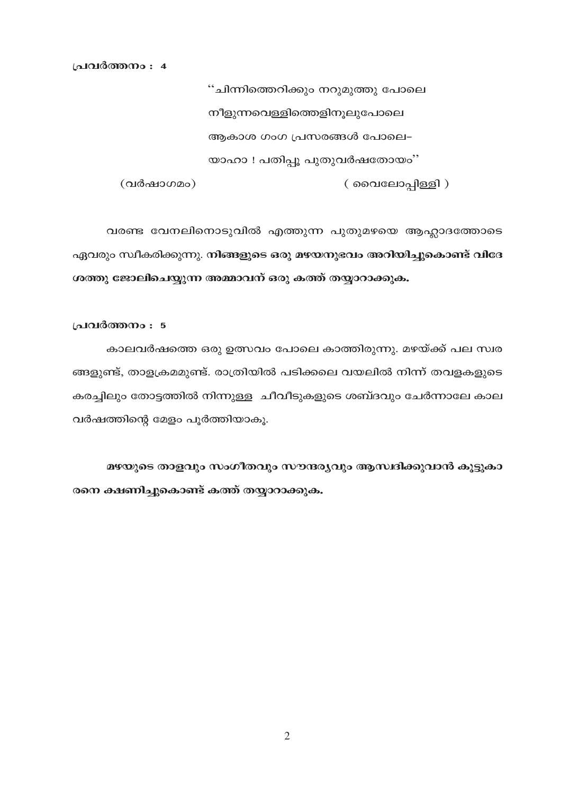പ്രവർത്തനം : 4

(വർഷാഗമം)

''ചിന്നിത്തെറിക്കും നറുമുത്തു പോലെ നീളുന്നവെള്ളിത്തെളിനൂലുപോലെ ആകാശ ഗംഗ പ്രസരങ്ങൾ പോലെ– യാഹാ ! പതിപ്പൂ പുതുവർഷതോയം'' ( വൈലോപ്പിള്ളി )

വരണ്ട വേനലിനൊടുവിൽ എത്തുന്ന പുതുമഴയെ ആഹ്ലാദത്തോടെ ഏവരും സ്ഥീകരിക്കുന്നു. നിങ്ങളുടെ ഒരു മഴയനുഭവം അറിയിച്ചുകൊണ്ട് വിദേ ശത്തു ജോലിചെയ്യുന്ന അമ്മാവന് ഒരു കത്ത് തയ്യാറാക്കുക.

#### പ്രവർത്തനം : 5

കാലവർഷത്തെ ഒരു ഉത്സവം പോലെ കാത്തിരുന്നു. മഴയ്ക്ക് പല സ്വര ങ്ങളുണ്ട്, താളക്രമമുണ്ട്. രാത്രിയിൽ പടിക്കലെ വയലിൽ നിന്ന് തവളകളുടെ കരച്ചിലും തോട്ടത്തിൽ നിന്നുള്ള ചീവീടുകളുടെ ശബ്ദവും ചേർന്നാലേ കാല വർഷത്തിന്റെ മേളം പൂർത്തിയാകു.

മഴയുടെ താളവും സംഗീതവും സൗന്ദര്യവും ആസ്വദിക്കുവാൻ കൂട്ടുകാ രനെ ക്ഷണിച്ചുകൊണ്ട് കത്ത് തയ്യാറാക്കുക.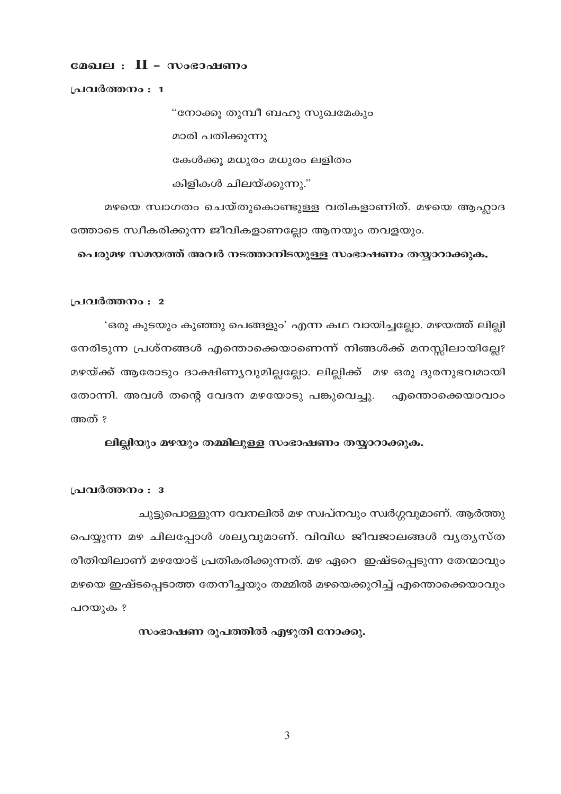# മേഖല $\,:\, \,II$  - സംഭാഷണം

പ്രവർത്തനം : 1

"നോക്കു തുമ്പീ ബഹു സുഖമേകും മാരി പതിക്കുന്നു കേൾക്കു മധുരം മധുരം ലളിതം കിളികൾ ചിലയ്ക്കുന്നു."

മഴയെ സ്വാഗതം ചെയ്തുകൊണ്ടുള്ള വരികളാണിത്. മഴയെ ആഹ്ലാദ ത്തോടെ സ്വീകരിക്കുന്ന ജീവികളാണല്ലോ ആനയും തവളയും.

പെരുമഴ സമയത്ത് അവർ നടത്താനിടയുള്ള സംഭാഷണം തയ്യാറാക്കുക.

#### പ്രവർത്തനം : 2

'ഒരു കൂടയും കൂഞ്ഞു പെങ്ങളും' എന്ന കഥ വായിച്ചലോ. മഴയത്ത് ലില്പി നേരിടുന്ന പ്രശ്നങ്ങൾ എന്തൊക്കെയാണെന്ന് നിങ്ങൾക്ക് മനസ്സിലായില്ലേ? മഴയ്ക്ക് ആരോടും ദാക്ഷിണ്യവുമില്ലല്ലോ. ലില്ലിക്ക് മഴ ഒരു ദുരനുഭവമായി തോന്നി. അവൾ തന്റെ വേദന മഴയോടു പങ്കുവെച്ചു. എന്തൊക്കെയാവാം അത് ?

ലില്ലിയും മഴയും തമ്മിലുള്ള സംഭാഷണം തയ്യാറാക്കുക.

പ്രവർത്തനം : 3

ചുട്ടുപൊള്ളുന്ന വേനലിൽ മഴ സ്വപ്നവും സ്വർഗ്ഗവുമാണ്. ആർത്തു പെയ്യുന്ന മഴ ചിലപ്പോൾ ശല്യവുമാണ്. വിവിധ ജീവജാലങ്ങൾ വ്യത്യസ്ത രീതിയിലാണ് മഴയോട് പ്രതികരിക്കുന്നത്. മഴ ഏറെ ഇഷ്ടപ്പെടുന്ന തേന്മാവും മഴയെ ഇഷ്ടപ്പെടാത്ത തേനീച്ചയും തമ്മിൽ മഴയെക്കുറിച്ച് എന്തൊക്കെയാവും പറയുക ?

സംഭാഷണ രൂപത്തിൽ എഴുതി നോക്കു.

3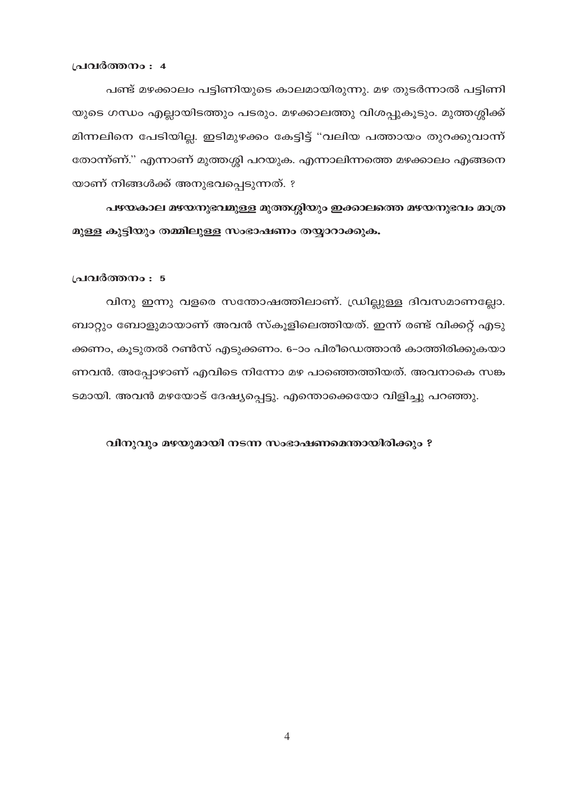#### പ്രവർത്തനം : 4

പണ്ട് മഴക്കാലം പട്ടിണിയുടെ കാലമായിരുന്നു. മഴ തുടർന്നാൽ പട്ടിണി യുടെ ഗന്ധം എല്ലായിടത്തും പടരും. മഴക്കാലത്തു വിശപ്പുകൂടും. മുത്തശ്ശിക്ക് മിന്നലിനെ പേടിയില്ല. ഇടിമുഴക്കം കേട്ടിട്ട് "വലിയ പത്തായം തുറക്കുവാന്ന് തോന്ന്ണ്." എന്നാണ് മുത്തശ്ശി പറയുക. എന്നാലിന്നത്തെ മഴക്കാലം എങ്ങനെ യാണ് നിങ്ങൾക്ക് അനുഭവപ്പെടുന്നത്. ?

പഴയകാല മഴയനുഭവമുള്ള മുത്തശ്ശിയും ഇക്കാലത്തെ മഴയനുഭവം മാത്ര മുള്ള കുട്ടിയും തമ്മിലുള്ള സംഭാഷണം തയ്യാറാക്കുക.

#### പ്രവർത്തനം : 5

വിനു ഇന്നു വളരെ സന്തോഷത്തിലാണ്. ഡ്രില്ലുള്ള ദിവസമാണല്ലോ. ബാറ്റും ബോളുമായാണ് അവൻ സ്കൂളിലെത്തിയത്. ഇന്ന് രണ്ട് വിക്കറ്റ് എടു ക്കണം, കൂടുതൽ റൺസ് എടുക്കണം. 6–ാം പിരീഡെത്താൻ കാത്തിരിക്കുകയാ ണവൻ. അപ്പോഴാണ് എവിടെ നിന്നോ മഴ പാഞ്ഞെത്തിയത്. അവനാകെ സങ്ക ടമായി. അവൻ മഴയോട് ദേഷ്യപ്പെട്ടു. എന്തൊക്കെയോ വിളിച്ചു പറഞ്ഞു.

#### വിനുവും മഴയുമായി നടന്ന സംഭാഷണമെന്തായിരിക്കും ?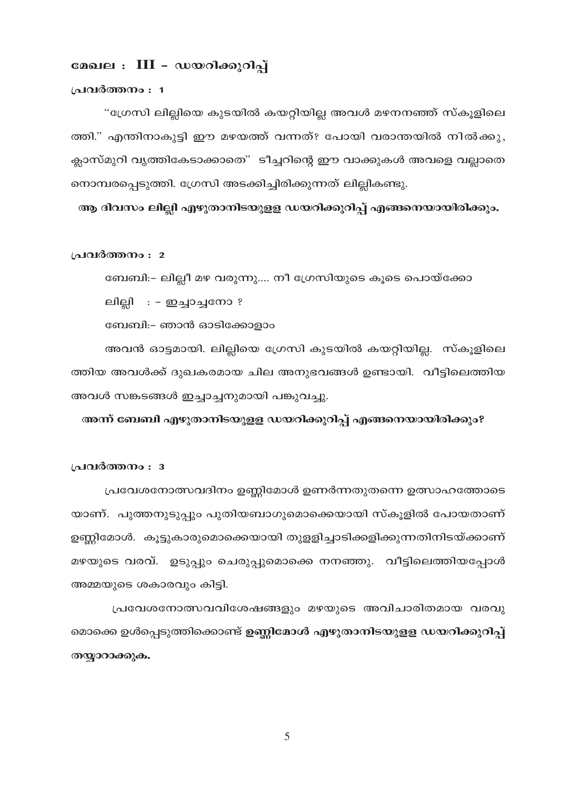# മേഖല : III - ഡയറിക്കുറിപ്പ്

#### പ്രവർത്തനം : 1

"ഗ്രേസി ലില്ലിയെ കുടയിൽ കയറ്റിയില്ല അവൾ മഴനനഞ്ഞ് സ്കൂളിലെ ത്തി." എന്തിനാകുട്ടി ഈ മഴയത്ത് വന്നത്? പോയി വരാന്തയിൽ നിൽക്കു, ക്ലാസ്മുറി വൃത്തികേടാക്കാതെ" ടീച്ചറിന്റെ ഈ വാക്കുകൾ അവളെ വല്ലാതെ നൊമ്പരപ്പെടുത്തി. ഗ്രേസി അടക്കിച്ചിരിക്കുന്നത് ലില്ലികണ്ടു.

ആ ദിവസം ലില്ലി എഴുതാനിടയുളള ഡയറിക്കുറിപ്പ് എങ്ങനെയായിരിക്കും.

#### പ്രവർത്തനം : 2

ബേബി:- ലില്ലീ മഴ വരുന്നു.... നീ ഗ്രേസിയുടെ കൂടെ പൊയ്ക്കോ

ലില്ലി : – ഇച്ചാച്ചനോ ?

ബേബി:– ഞാൻ ഓടിക്കോളാം

അവൻ ഓട്ടമായി. ലില്ലിയെ ഗ്രേസി കുടയിൽ കയറ്റിയില്ല. സ്കൂളിലെ ത്തിയ അവൾക്ക് ദുഖകരമായ ചില അനുഭവങ്ങൾ ഉണ്ടായി. വീട്ടിലെത്തിയ അവൾ സങ്കടങ്ങൾ ഇച്ചാച്ചനുമായി പങ്കുവച്ചു.

# അന്ന് ബേബി എഴുതാനിടയുളള ഡയറിക്കുറിപ്പ് എങ്ങനെയായിരിക്കും?

#### പ്രവർത്തനം : 3

പ്രവേശനോത്സവദിനം ഉണ്ണിമോൾ ഉണർന്നതുതന്നെ ഉത്സാഹത്തോടെ യാണ്. പുത്തനുടുപ്പും പുതിയബാഗുമൊക്കെയായി സ്കൂളിൽ പോയതാണ് ഉണ്ണിമോൾ. കൂട്ടുകാരുമൊക്കെയായി തുളളിച്ചാടിക്കളിക്കുന്നതിനിടയ്ക്കാണ് മഴയുടെ വരവ്. ഉടുപ്പും ചെരുപ്പുമൊക്കെ നനഞ്ഞു. വീട്ടിലെത്തിയപ്പോൾ അമ്മയുടെ ശകാരവും കിട്ടി.

പ്രവേശനോത്സവവിശേഷങ്ങളും മഴയുടെ അവിചാരിതമായ വരവു മൊക്കെ ഉൾപ്പെടുത്തിക്കൊണ്ട് <mark>ഉണ്ണിമോൾ എഴുതാനിടയുളള ഡയറിക്കുറിപ്പ്</mark> തയ്യാറാക്കുക.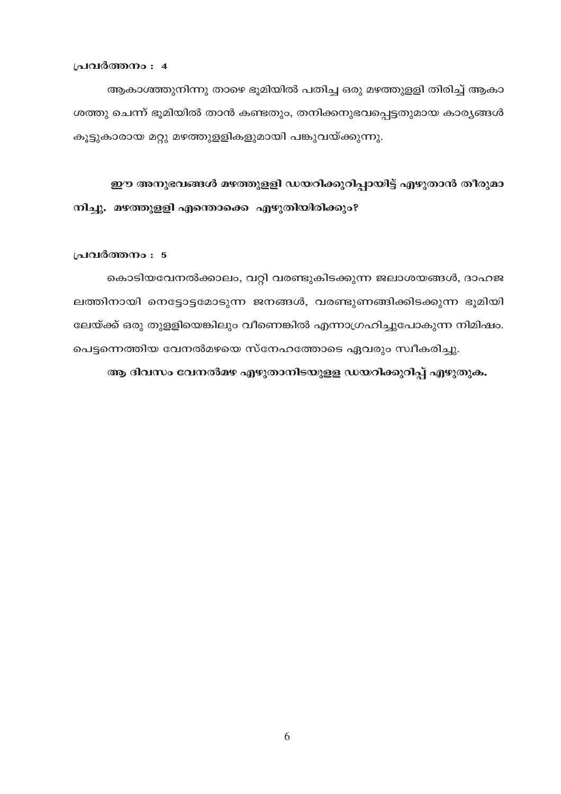പ്രവർത്തനം : 4

ആകാശ്ത്തുനിന്നു താഴെ ഭൂമിയിൽ പതിച്ച ഒരു മഴത്തുള്ളി തിരിച്ച് ആകാ ശത്തു ചെന്ന് ഭൂമിയിൽ താൻ കണ്ടതും, തനിക്കനുഭവപ്പെട്ടതുമായ കാര്യങ്ങൾ കൂട്ടുകാരായ മറ്റു മഴത്തുളളികളുമായി പങ്കുവയ്ക്കുന്നു.

ഈ അനുഭവങ്ങൾ മഴത്തുളളി ഡയറിക്കുറിപ്പായിട്ട് എഴുതാൻ തീരുമാ നിച്ചു. മഴത്തുള്ളി എന്തൊക്കെ എഴുതിയിരിക്കും?

പ്രവർത്തനം : 5

കൊടിയവേനൽക്കാലം, വറ്റി വരണ്ടുകിടക്കുന്ന ജലാശയങ്ങൾ, ദാഹജ ലത്തിനായി നെട്ടോട്ടമോടുന്ന ജനങ്ങൾ, വരണ്ടുണങ്ങിക്കിടക്കുന്ന ഭൂമിയി ലേയ്ക്ക് ഒരു തുള്ളിയെങ്കിലും വീണെങ്കിൽ എന്നാഗ്രഹിച്ചുപോകുന്ന നിമിഷം. പെട്ടന്നെത്തിയ വേനൽമഴയെ സ്നേഹത്തോടെ ഏവരും സ്വീകരിച്ചു.

ആ ദിവസം വേനൽമഴ എഴുതാനിടയുളള ഡയറിക്കുറിപ്പ് എഴുതുക.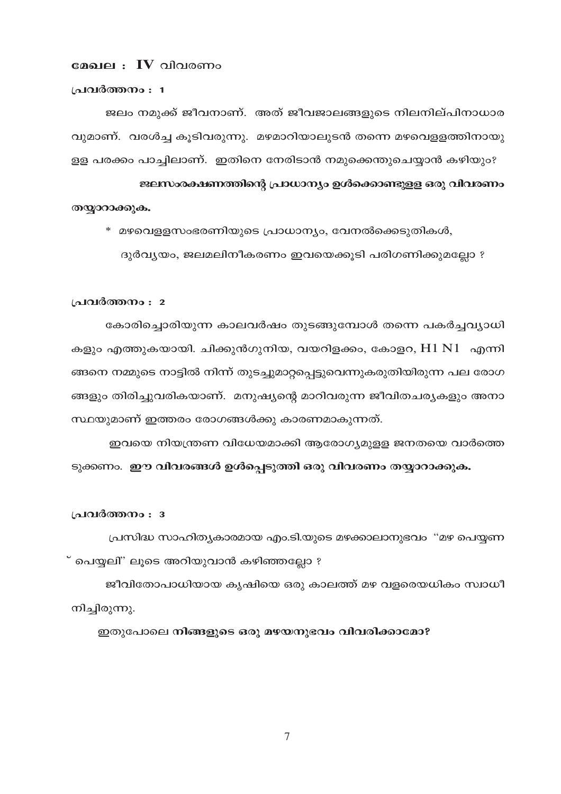#### മേഖല $\,:\,I\,V\,$ വിവരണം

#### പ്രവർത്തനം : 1

ജലം നമുക്ക് ജീവനാണ്. അത് ജീവജാലങ്ങളുടെ നിലനില്പിനാധാര വുമാണ്. വരൾച്ച കുടിവരുന്നു. മഴമാറിയാലുടൻ തന്നെ മഴവെള്ളത്തിനായു ള്ള പരക്കം പാച്ചിലാണ്. ഇതിനെ നേരിടാൻ നമുക്കെന്തുചെയ്യാൻ കഴിയും?

ജലസംരക്ഷണത്തിന്റെ പ്രാധാന്യം ഉൾക്കൊണ്ടുളള ഒരു വിവരണം തയ്യാറാക്കുക.

\* മഴവെളളസംഭരണിയുടെ പ്രാധാന്യം, വേനൽക്കെടുതികൾ,

ദുർവ്യയം, ജലമലിനീകരണം ഇവയെക്കൂടി പരിഗണിക്കുമല്ലോ ?

#### പ്രവർത്തനം : 2

കോരിച്ചൊരിയുന്ന കാലവർഷം തുടങ്ങുമ്പോൾ തന്നെ പകർച്ചവ്യാധി കളും എത്തുകയായി. ചിക്കുൻഗുനിയ, വയറിളക്കം, കോളറ, H1 N1 എന്നി ങ്ങനെ നമ്മുടെ നാട്ടിൽ നിന്ന് തുടച്ചുമാറ്റപ്പെട്ടുവെന്നുകരുതിയിരുന്ന പല രോഗ ങ്ങളും തിരിച്ചുവരികയാണ്. മനുഷ്യന്റെ മാറിവരുന്ന ജീവിതചര്യകളും അനാ സ്ഥയുമാണ് ഇത്തരം രോഗങ്ങൾക്കു കാരണമാകുന്നത്.

ഇവയെ നിയന്ത്രണ വിധേയമാക്കി ആരോഗ്യമുള്ള ജനതയെ വാർത്തെ ടുക്കണം. ഈ വിവരങ്ങൾ ഉൾപ്പെടുത്തി ഒരു വിവരണം തയ്യാറാക്കുക.

#### പ്രവർത്തനം : 3

പ്രസിദ്ധ സാഹിത്യകാരമായ എം.ടി.യുടെ മഴക്കാലാനുഭവം "മഴ പെയ്യണ ് പെയ്യലി" ലൂടെ അറിയുവാൻ കഴിഞ്ഞല്ലോ ?

ജീവിതോപാധിയായ കൃഷിയെ ഒരു കാലത്ത് മഴ വളരെയധികം സ്വാധീ നിച്ചിരുന്നു.

ഇതുപോലെ നിങ്ങളുടെ ഒരു മഴയനുഭവം വിവരിക്കാമോ?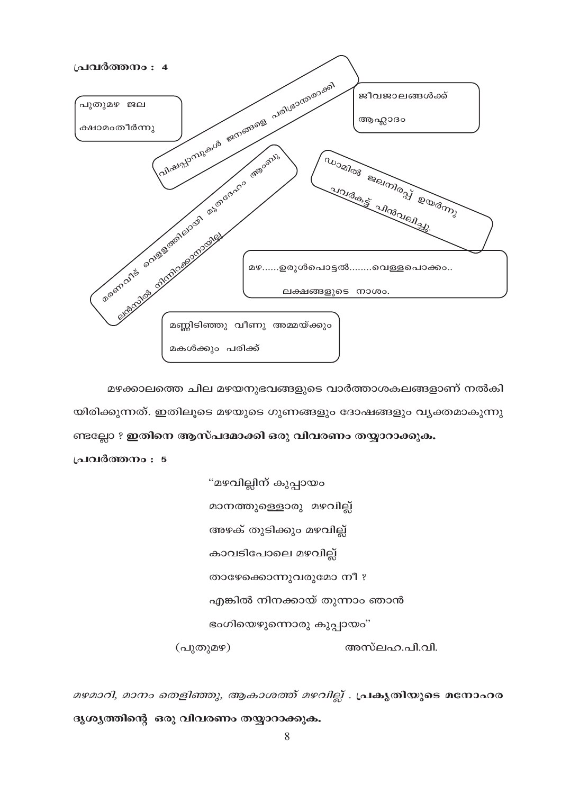

മഴക്കാലത്തെ ചില മഴയനുഭവങ്ങളുടെ വാർത്താശകലങ്ങളാണ് നൽകി യിരിക്കുന്നത്. ഇതിലൂടെ മഴയുടെ ഗുണങ്ങളും ദോഷങ്ങളും വ്യക്തമാകുന്നു ണ്ടല്ലോ ? ഇതിനെ ആസ്പദമാക്കി ഒരു വിവരണം തയ്യാറാക്കുക.

പ്രവർത്തനം : 5

"മഴവില്ലിന് കുപ്പായം മാനത്തുള്ളൊരു മഴവില്ല് അഴക് തുടിക്കും മഴവില്ല് കാവടിപോലെ മഴവില്ല് താഴേക്കൊന്നുവരുമോ നീ ? എങ്കിൽ നിനക്കായ് തുന്നാം ഞാൻ ഭംഗിയെഴുന്നൊരു കുപ്പായം" (പുതുമഴ) അസ്ലഹ.പി.വി.

മഴമാറി, മാനം തെളിഞ്ഞു, ആകാശത്ത് മഴവില്ല് . പ്രകൃതിയുടെ മനോഹര ദൃശ്യത്തിന്റെ ഒരു വിവരണം തയ്യാറാക്കുക.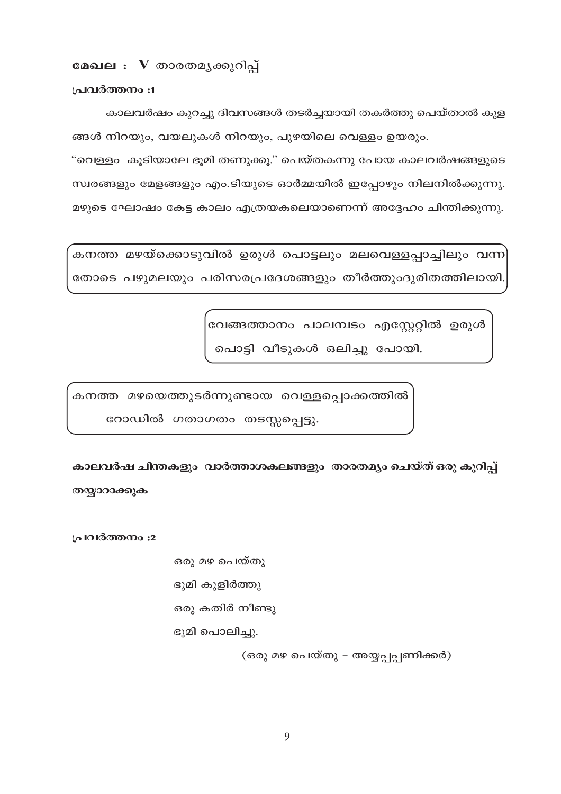മേഖല : V താരതമൃക്കുറിപ്പ്

പ്രവർത്തനം :1

കാലവർഷം കുറച്ചു ദിവസങ്ങൾ തടർച്ചയായി തകർത്തു പെയ്താൽ കുള ങ്ങൾ നിറയും, വയലുകൾ നിറയും, പുഴയിലെ വെള്ളം ഉയരും.

"വെള്ളം കൂടിയാലേ ഭൂമി തണുക്കൂ." പെയ്തകന്നു പോയ കാലവർഷങ്ങളുടെ സ്വരങ്ങളും മേളങ്ങളും എം.ടിയുടെ ഓർമ്മയിൽ ഇപ്പോഴും നിലനിൽക്കുന്നു. മഴുടെ ഘോഷം കേട്ട കാലം എത്രയകലെയാണെന്ന് അദ്ദേഹം ചിന്തിക്കുന്നു.

കനത്ത മഴയ്ക്കൊടുവിൽ ഉരുൾ പൊട്ടലും മലവെള്ളപ്പാച്ചിലും വന്ന<sup>്</sup> തോടെ പഴുമലയും പരിസരപ്രദേശങ്ങളും തീർത്തുംദുരിതത്തിലായി.

> വേങ്ങത്താനം പാലമ്പടം എസ്റ്റേറ്റിൽ ഉരുൾ പൊട്ടി വീടുകൾ ഒലിച്ചു പോയി.

കനത്ത മഴയെത്തുടർന്നുണ്ടായ വെള്ളപ്പൊക്കത്തിൽ

റോഡിൽ ഗതാഗതം തടസ്സപ്പെട്ടു.

കാലവർഷ ചിന്തകളും വാർത്താശകലങ്ങളും താരതമ്യം ചെയ്ത് ഒരു കുറിപ്പ് തയ്യാറാക്കുക

പ്രവർത്തനം :2

- ഒരു മഴ പെയ്തു
- ഭുമി കുളിർത്തു
- ഒരു കതിർ നീണ്ടു

ഭൂമി പൊലിച്ചു.

(ഒരു മഴ പെയ്തു – അയ്യപ്പപ്പണിക്കർ)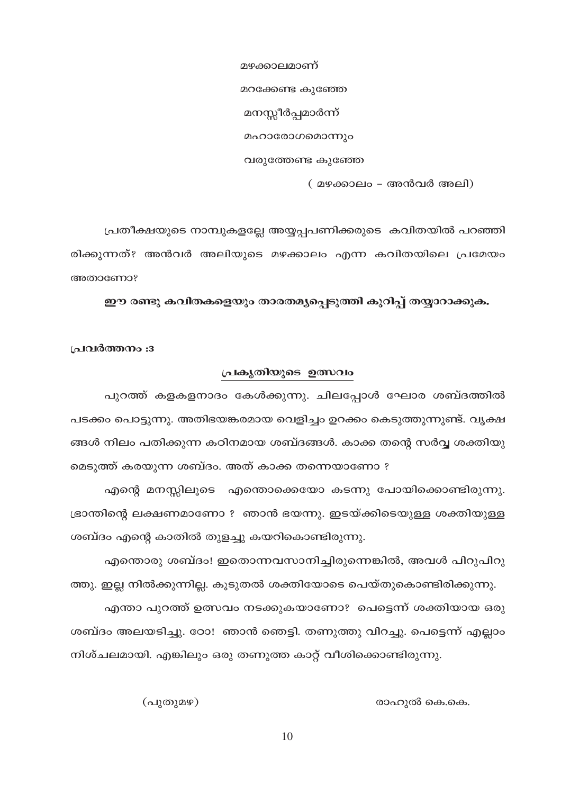മഴക്കാലമാണ് മറക്കേണ്ട കുഞ്ഞേ മനസ്സീർപ്പമാർന്ന് മഹാരോഗമൊന്നും വരുത്തേണ്ട കുഞ്ഞേ

(മഴക്കാലം - അൻവർ അലി)

പ്രതീക്ഷയുടെ നാമ്പുകളല്ലേ അയ്യപ്പപണിക്കരുടെ കവിതയിൽ പറഞ്ഞി രിക്കുന്നത്? അൻവർ അലിയുടെ മഴക്കാലം എന്ന കവിതയിലെ പ്രമേയം അതാണോ?

ഈ രണ്ടു കവിതകളെയും താരതമൃപ്പെടുത്തി കുറിപ്പ് തയ്യാറാക്കുക.

പ്രവർത്തനം :3

# പ്രകൃതിയുടെ ഉത്സവം

പുറത്ത് കളകളനാദം കേൾക്കുന്നു. ചിലപ്പോൾ ഘോര ശബ്ദത്തിൽ പടക്കം പൊട്ടുന്നു. അതിഭയങ്കരമായ വെളിച്ചം ഉറക്കം കെടുത്തുന്നുണ്ട്. വൃക്ഷ ങ്ങൾ നിലം പതിക്കുന്ന കഠിനമായ ശബ്ദങ്ങൾ. കാക്ക തന്റെ സർവ്വ ശക്തിയു മെടുത്ത് കരയുന്ന ശബ്ദം. അത് കാക്ക തന്നെയാണോ ?

എന്റെ മനസ്സിലൂടെ എന്തൊക്കെയോ കടന്നു പോയിക്കൊണ്ടിരുന്നു. ഭ്രാന്തിന്റെ ലക്ഷണമാണോ ? ഞാൻ ഭയന്നു. ഇടയ്ക്കിടെയുള്ള ശക്തിയുള്ള ശബ്ദം എന്റെ കാതിൽ തുളച്ചു കയറികൊണ്ടിരുന്നു.

എന്തൊരു ശബ്ദം! ഇതൊന്നവസാനിച്ചിരുന്നെങ്കിൽ, അവൾ പിറുപിറു ത്തു. ഇല്ല നിൽക്കുന്നില്ല. കൂടുതൽ ശക്തിയോടെ പെയ്തുകൊണ്ടിരിക്കുന്നു.

എന്താ പുറത്ത് ഉത്സവം നടക്കുകയാണോ? പെട്ടെന്ന് ശക്തിയായ ഒരു ശബ്ദം അലയടിച്ചു. ഠോ! ഞാൻ ഞെട്ടി. തണുത്തു വിറച്ചു. പെട്ടെന്ന് എല്ലാം നിശ്ചലമായി. എങ്കിലും ഒരു തണുത്ത കാറ്റ് വീശിക്കൊണ്ടിരുന്നു.

രാഹുൽ കെ.കെ.

(പുതുമഴ)

10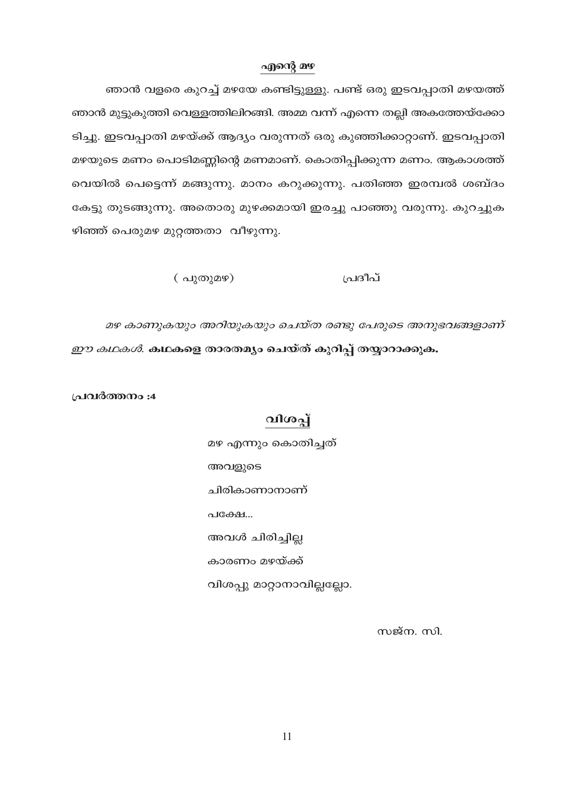### എന്റെ മഴ

ഞാൻ വളരെ കുറച്ച് മഴയേ കണ്ടിട്ടുള്ളു. പണ്ട് ഒരു ഇടവപ്പാതി മഴയത്ത് ഞാൻ മുട്ടുകുത്തി വെള്ളത്തിലിറങ്ങി. അമ്മ വന്ന് എന്നെ തല്ലി അകത്തേയ്ക്കോ ടിച്ചു. ഇടവപ്പാതി മഴയ്ക്ക് ആദ്യം വരുന്നത് ഒരു കുഞ്ഞിക്കാറ്റാണ്. ഇടവപ്പാതി മഴയുടെ മണം പൊടിമണ്ണിന്റെ മണമാണ്. കൊതിപ്പിക്കുന്ന മണം. ആകാശത്ത് വെയിൽ പെട്ടെന്ന് മങ്ങുന്നു. മാനം കറുക്കുന്നു. പതിഞ്ഞ ഇരമ്പൽ ശബ്ദം കേട്ടു തുടങ്ങുന്നു. അതൊരു മുഴക്കമായി ഇരച്ചു പാഞ്ഞു വരുന്നു. കുറച്ചുക ഴിഞ്ഞ് പെരുമഴ മുറ്റത്തതാ വീഴുന്നു.

> പ്രദീപ്  $\left(\begin{array}{c}\n\alpha\n\end{array}\right)$

മഴ കാണുകയും അറിയുകയും ചെയ്ത രണ്ടു പേരുടെ അനുഭവങ്ങളാണ് *ഈ കഥകൾ.* കഥകളെ താരതമ്യം ചെയ്ത് കുറിപ്പ് തയ്യാറാക്കുക.

പ്രവർത്തനം :4

# വിശപ്പ്

മഴ എന്നും കൊതിച്ചത് അവളുടെ ചിരികാണാനാണ് അവൾ ചിരിച്ചില്ല കാരണം മഴയ്ക്ക് വിശപ്പു മാറ്റാനാവില്ലല്ലോ.

സജ്ന. സി.